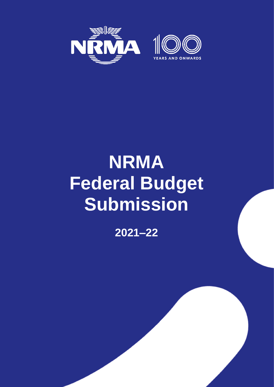

# **NRMA Federal Budget Submission**

**2021–22**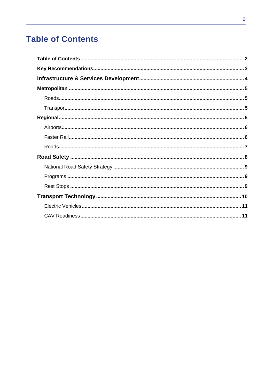# <span id="page-1-0"></span>**Table of Contents**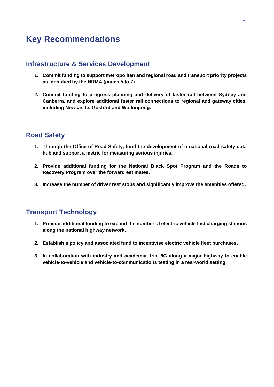# <span id="page-2-0"></span>**Key Recommendations**

### **Infrastructure & Services Development**

- **1. Commit funding to support metropolitan and regional road and transport priority projects as identified by the NRMA (pages 5 to 7).**
- **2. Commit funding to progress planning and delivery of faster rail between Sydney and Canberra, and explore additional faster rail connections to regional and gateway cities, including Newcastle, Gosford and Wollongong.**

# **Road Safety**

- **1. Through the Office of Road Safety, fund the development of a national road safety data hub and support a metric for measuring serious injuries.**
- **2. Provide additional funding for the National Black Spot Program and the Roads to Recovery Program over the forward estimates.**
- **3. Increase the number of driver rest stops and significantly improve the amenities offered.**

## **Transport Technology**

- **1. Provide additional funding to expand the number of electric vehicle fast charging stations along the national highway network.**
- **2. Establish a policy and associated fund to incentivise electric vehicle fleet purchases.**
- **3. In collaboration with industry and academia, trial 5G along a major highway to enable vehicle-to-vehicle and vehicle-to-communications testing in a real-world setting.**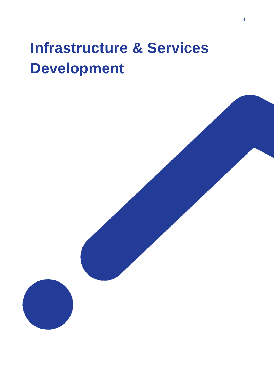# **Infrastructure & Services Development**

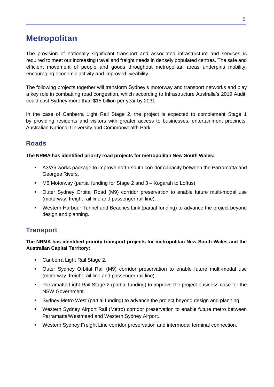# <span id="page-4-0"></span>**Metropolitan**

The provision of nationally significant transport and associated infrastructure and services is required to meet our increasing travel and freight needs in densely populated centres. The safe and efficient movement of people and goods throughout metropolitan areas underpins mobility, encouraging economic activity and improved liveability.

The following projects together will transform Sydney's motorway and transport networks and play a key role in combatting road congestion, which according to Infrastructure Australia's 2019 Audit, could cost Sydney more than \$15 billion per year by 2031.

In the case of Canberra Light Rail Stage 2, the project is expected to complement Stage 1 by providing residents and visitors with greater access to businesses, entertainment precincts, Australian National University and Commonwealth Park.

# <span id="page-4-1"></span>**Roads**

#### **The NRMA has identified priority road projects for metropolitan New South Wales:**

- A3/A6 works package to improve north-south corridor capacity between the Parramatta and Georges Rivers.
- M6 Motorway (partial funding for Stage 2 and 3 Kogarah to Loftus).
- Outer Sydney Orbital Road (M9) corridor preservation to enable future multi-modal use (motorway, freight rail line and passenger rail line).
- Western Harbour Tunnel and Beaches Link (partial funding) to advance the project beyond design and planning.

## <span id="page-4-2"></span>**Transport**

#### **The NRMA has identified priority transport projects for metropolitan New South Wales and the Australian Capital Territory:**

- Canberra Light Rail Stage 2.
- Outer Sydney Orbital Rail (M9) corridor preservation to enable future multi-modal use (motorway, freight rail line and passenger rail line).
- Parramatta Light Rail Stage 2 (partial funding) to improve the project business case for the NSW Government.
- Sydney Metro West (partial funding) to advance the project beyond design and planning.
- Western Sydney Airport Rail (Metro) corridor preservation to enable future metro between Parramatta/Westmead and Western Sydney Airport.
- Western Sydney Freight Line corridor preservation and intermodal terminal connection.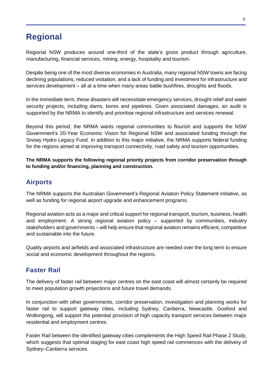# <span id="page-5-0"></span>**Regional**

Regional NSW produces around one-third of the state's gross product through agriculture, manufacturing, financial services, mining, energy, hospitality and tourism.

Despite being one of the most diverse economies in Australia, many regional NSW towns are facing declining populations, reduced visitation, and a lack of funding and investment for infrastructure and services development – all at a time when many areas battle bushfires, droughts and floods.

In the immediate term, these disasters will necessitate emergency services, drought relief and water security projects, including dams, bores and pipelines. Given associated damages, an audit is supported by the NRMA to identify and prioritise regional infrastructure and services renewal.

Beyond this period, the NRMA wants regional communities to flourish and supports the NSW Government's 20-Year Economic Vision for Regional NSW and associated funding through the Snowy Hydro Legacy Fund. In addition to this major initiative, the NRMA supports federal funding for the regions aimed at improving transport connectivity, road safety and tourism opportunities.

**The NRMA supports the following regional priority projects from corridor preservation through to funding and/or financing, planning and construction.**

## <span id="page-5-1"></span>**Airports**

The NRMA supports the Australian Government's Regional Aviation Policy Statement initiative, as well as funding for regional airport upgrade and enhancement programs.

Regional aviation acts as a major and critical support for regional transport, tourism, business, health and employment. A strong regional aviation policy – supported by communities, industry stakeholders and governments – will help ensure that regional aviation remains efficient, competitive and sustainable into the future.

Quality airports and airfields and associated infrastructure are needed over the long term to ensure social and economic development throughout the regions.

## <span id="page-5-2"></span>**Faster Rail**

The delivery of faster rail between major centres on the east coast will almost certainly be required to meet population growth projections and future travel demands.

In conjunction with other governments, corridor preservation, investigation and planning works for faster rail to support gateway cities, including Sydney, Canberra, Newcastle, Gosford and Wollongong, will support the potential provision of high capacity transport services between major residential and employment centres.

Faster Rail between the identified gateway cities complements the High Speed Rail Phase 2 Study, which suggests that optimal staging for east coast high speed rail commences with the delivery of Sydney–Canberra services.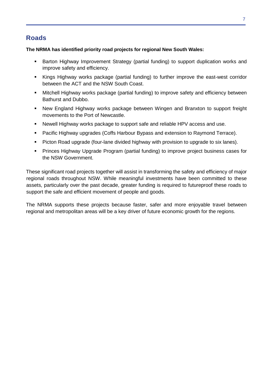# <span id="page-6-0"></span>**Roads**

#### **The NRMA has identified priority road projects for regional New South Wales:**

- Barton Highway Improvement Strategy (partial funding) to support duplication works and improve safety and efficiency.
- Kings Highway works package (partial funding) to further improve the east-west corridor between the ACT and the NSW South Coast.
- Mitchell Highway works package (partial funding) to improve safety and efficiency between Bathurst and Dubbo.
- New England Highway works package between Wingen and Branxton to support freight movements to the Port of Newcastle.
- Newell Highway works package to support safe and reliable HPV access and use.
- Pacific Highway upgrades (Coffs Harbour Bypass and extension to Raymond Terrace).
- **Picton Road upgrade (four-lane divided highway with provision to upgrade to six lanes).**
- **Princes Highway Upgrade Program (partial funding) to improve project business cases for** the NSW Government.

These significant road projects together will assist in transforming the safety and efficiency of major regional roads throughout NSW. While meaningful investments have been committed to these assets, particularly over the past decade, greater funding is required to futureproof these roads to support the safe and efficient movement of people and goods.

The NRMA supports these projects because faster, safer and more enjoyable travel between regional and metropolitan areas will be a key driver of future economic growth for the regions.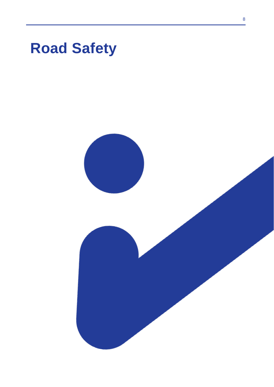

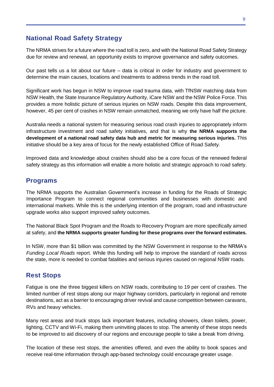## <span id="page-8-0"></span>**National Road Safety Strategy**

The NRMA strives for a future where the road toll is zero, and with the National Road Safety Strategy due for review and renewal, an opportunity exists to improve governance and safety outcomes.

Our past tells us a lot about our future – data is critical in order for industry and government to determine the main causes, locations and treatments to address trends in the road toll.

Significant work has begun in NSW to improve road trauma data, with TfNSW matching data from NSW Health, the State Insurance Regulatory Authority, iCare NSW and the NSW Police Force. This provides a more holistic picture of serious injuries on NSW roads. Despite this data improvement, however, 45 per cent of crashes in NSW remain unmatched, meaning we only have half the picture.

Australia needs a national system for measuring serious road crash injuries to appropriately inform infrastructure investment and road safety initiatives, and that is why **the NRMA supports the development of a national road safety data hub and metric for measuring serious injuries.** This initiative should be a key area of focus for the newly established Office of Road Safety.

Improved data and knowledge about crashes should also be a core focus of the renewed federal safety strategy as this information will enable a more holistic and strategic approach to road safety.

#### <span id="page-8-1"></span>**Programs**

The NRMA supports the Australian Government's increase in funding for the Roads of Strategic Importance Program to connect regional communities and businesses with domestic and international markets. While this is the underlying intention of the program, road and infrastructure upgrade works also support improved safety outcomes.

The National Black Spot Program and the Roads to Recovery Program are more specifically aimed at safety, and **the NRMA supports greater funding for these programs over the forward estimates.**

In NSW, more than \$1 billion was committed by the NSW Government in response to the NRMA's *Funding Local Roads* report. While this funding will help to improve the standard of roads across the state, more is needed to combat fatalities and serious injuries caused on regional NSW roads.

### <span id="page-8-2"></span>**Rest Stops**

Fatigue is one the three biggest killers on NSW roads, contributing to 19 per cent of crashes. The limited number of rest stops along our major highway corridors, particularly in regional and remote destinations, act as a barrier to encouraging driver revival and cause competition between caravans, RVs and heavy vehicles.

Many rest areas and truck stops lack important features, including showers, clean toilets, power, lighting, CCTV and Wi-Fi, making them uninviting places to stop. The amenity of these stops needs to be improved to aid discovery of our regions and encourage people to take a break from driving.

The location of these rest stops, the amenities offered, and even the ability to book spaces and receive real-time information through app-based technology could encourage greater usage.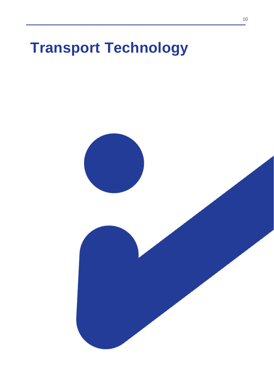# **Transport Technology**

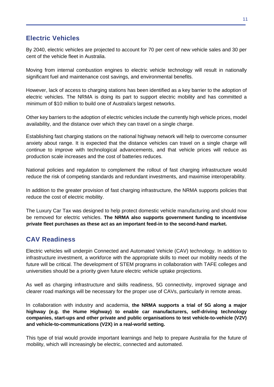# <span id="page-10-0"></span>**Electric Vehicles**

By 2040, electric vehicles are projected to account for 70 per cent of new vehicle sales and 30 per cent of the vehicle fleet in Australia.

Moving from internal combustion engines to electric vehicle technology will result in nationally significant fuel and maintenance cost savings, and environmental benefits.

However, lack of access to charging stations has been identified as a key barrier to the adoption of electric vehicles. The NRMA is doing its part to support electric mobility and has committed a minimum of \$10 million to build one of Australia's largest networks.

Other key barriers to the adoption of electric vehicles include the currently high vehicle prices, model availability, and the distance over which they can travel on a single charge.

Establishing fast charging stations on the national highway network will help to overcome consumer anxiety about range. It is expected that the distance vehicles can travel on a single charge will continue to improve with technological advancements, and that vehicle prices will reduce as production scale increases and the cost of batteries reduces.

National policies and regulation to complement the rollout of fast charging infrastructure would reduce the risk of competing standards and redundant investments, and maximise interoperability.

In addition to the greater provision of fast charging infrastructure, the NRMA supports policies that reduce the cost of electric mobility.

The Luxury Car Tax was designed to help protect domestic vehicle manufacturing and should now be removed for electric vehicles. **The NRMA also supports government funding to incentivise private fleet purchases as these act as an important feed-in to the second-hand market.**

## <span id="page-10-1"></span>**CAV Readiness**

Electric vehicles will underpin Connected and Automated Vehicle (CAV) technology. In addition to infrastructure investment, a workforce with the appropriate skills to meet our mobility needs of the future will be critical. The development of STEM programs in collaboration with TAFE colleges and universities should be a priority given future electric vehicle uptake projections.

As well as charging infrastructure and skills readiness, 5G connectivity, improved signage and clearer road markings will be necessary for the proper use of CAVs, particularly in remote areas.

In collaboration with industry and academia, **the NRMA supports a trial of 5G along a major highway (e.g. the Hume Highway) to enable car manufacturers, self-driving technology companies, start-ups and other private and public organisations to test vehicle-to-vehicle (V2V) and vehicle-to-communications (V2X) in a real-world setting.**

This type of trial would provide important learnings and help to prepare Australia for the future of mobility, which will increasingly be electric, connected and automated.